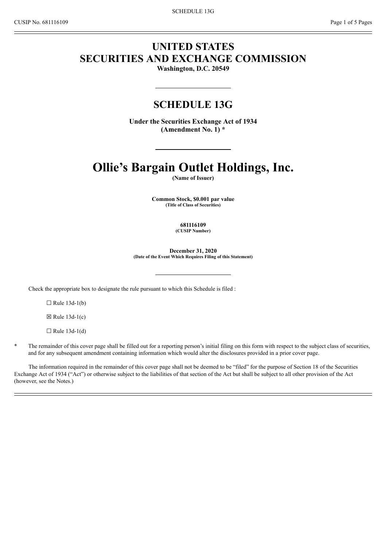# **UNITED STATES SECURITIES AND EXCHANGE COMMISSION**

**Washington, D.C. 20549**

# **SCHEDULE 13G**

**Under the Securities Exchange Act of 1934 (Amendment No. 1) \***

# **Ollie's Bargain Outlet Holdings, Inc.**

**(Name of Issuer)**

**Common Stock, \$0.001 par value (Title of Class of Securities)**

**681116109**

**(CUSIP Number)**

**December 31, 2020 (Date of the Event Which Requires Filing of this Statement)**

Check the appropriate box to designate the rule pursuant to which this Schedule is filed :

 $\Box$  Rule 13d-1(b)

 $\boxtimes$  Rule 13d-1(c)

 $\Box$  Rule 13d-1(d)

The remainder of this cover page shall be filled out for a reporting person's initial filing on this form with respect to the subject class of securities, and for any subsequent amendment containing information which would alter the disclosures provided in a prior cover page.

The information required in the remainder of this cover page shall not be deemed to be "filed" for the purpose of Section 18 of the Securities Exchange Act of 1934 ("Act") or otherwise subject to the liabilities of that section of the Act but shall be subject to all other provision of the Act (however, see the Notes.)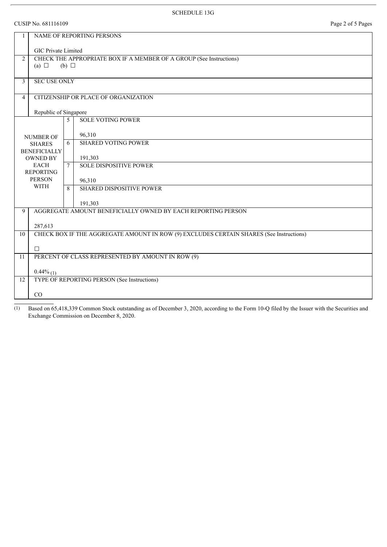CUSIP No. 681116109 Page 2 of 5 Pages

|                                                                                                          | NAME OF REPORTING PERSONS                                                               |                                         |  |  |  |  |
|----------------------------------------------------------------------------------------------------------|-----------------------------------------------------------------------------------------|-----------------------------------------|--|--|--|--|
|                                                                                                          | <b>GIC Private Limited</b>                                                              |                                         |  |  |  |  |
| CHECK THE APPROPRIATE BOX IF A MEMBER OF A GROUP (See Instructions)<br>$\overline{2}$<br>$(b)$ $\square$ |                                                                                         |                                         |  |  |  |  |
|                                                                                                          | (a) $\Box$                                                                              |                                         |  |  |  |  |
| 3                                                                                                        | <b>SEC USE ONLY</b>                                                                     |                                         |  |  |  |  |
| $\overline{4}$                                                                                           | CITIZENSHIP OR PLACE OF ORGANIZATION                                                    |                                         |  |  |  |  |
|                                                                                                          | Republic of Singapore                                                                   |                                         |  |  |  |  |
|                                                                                                          |                                                                                         | <b>SOLE VOTING POWER</b><br>5           |  |  |  |  |
| <b>NUMBER OF</b>                                                                                         |                                                                                         | 96,310                                  |  |  |  |  |
|                                                                                                          | <b>SHARES</b>                                                                           | <b>SHARED VOTING POWER</b><br>6         |  |  |  |  |
| <b>BENEFICIALLY</b><br><b>OWNED BY</b>                                                                   |                                                                                         | 191,303                                 |  |  |  |  |
| <b>EACH</b><br><b>REPORTING</b>                                                                          |                                                                                         | <b>SOLE DISPOSITIVE POWER</b><br>$\tau$ |  |  |  |  |
| <b>PERSON</b><br><b>WITH</b>                                                                             |                                                                                         | 96,310                                  |  |  |  |  |
|                                                                                                          |                                                                                         | <b>SHARED DISPOSITIVE POWER</b><br>8    |  |  |  |  |
|                                                                                                          |                                                                                         | 191,303                                 |  |  |  |  |
|                                                                                                          | AGGREGATE AMOUNT BENEFICIALLY OWNED BY EACH REPORTING PERSON<br>9                       |                                         |  |  |  |  |
|                                                                                                          | 287,613                                                                                 |                                         |  |  |  |  |
| 10                                                                                                       | CHECK BOX IF THE AGGREGATE AMOUNT IN ROW (9) EXCLUDES CERTAIN SHARES (See Instructions) |                                         |  |  |  |  |
|                                                                                                          | П                                                                                       |                                         |  |  |  |  |
| 11                                                                                                       | PERCENT OF CLASS REPRESENTED BY AMOUNT IN ROW (9)                                       |                                         |  |  |  |  |
| 12                                                                                                       | $0.44\%$ (1)<br>TYPE OF REPORTING PERSON (See Instructions)                             |                                         |  |  |  |  |
|                                                                                                          |                                                                                         |                                         |  |  |  |  |
|                                                                                                          | CO                                                                                      |                                         |  |  |  |  |

(1) Based on 65,418,339 Common Stock outstanding as of December 3, 2020, according to the Form 10-Q filed by the Issuer with the Securities and Exchange Commission on December 8, 2020.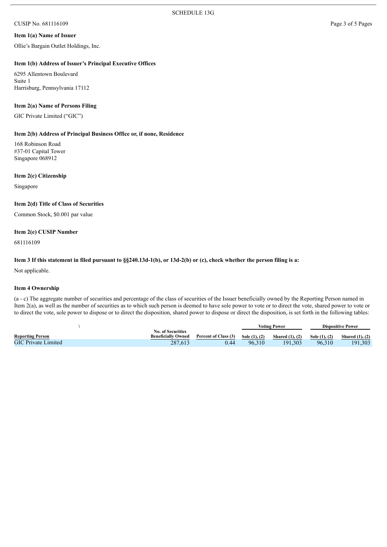# CUSIP No. 681116109 Page 3 of 5 Pages

#### **Item 1(a) Name of Issuer**

Ollie's Bargain Outlet Holdings, Inc.

#### **Item 1(b) Address of Issuer's Principal Executive Offices**

6295 Allentown Boulevard Suite 1 Harrisburg, Pennsylvania 17112

#### **Item 2(a) Name of Persons Filing**

GIC Private Limited ("GIC")

## **Item 2(b) Address of Principal Business Office or, if none, Residence**

168 Robinson Road #37-01 Capital Tower Singapore 068912

#### **Item 2(c) Citizenship**

Singapore

#### **Item 2(d) Title of Class of Securities**

Common Stock, \$0.001 par value

### **Item 2(e) CUSIP Number**

681116109

#### Item 3 If this statement in filed pursuant to §§240.13d-1(b), or 13d-2(b) or (c), check whether the person filing is a:

Not applicable.

#### **Item 4 Ownership**

(a - c) The aggregate number of securities and percentage of the class of securities of the Issuer beneficially owned by the Reporting Person named in Item 2(a), as well as the number of securities as to which such person is deemed to have sole power to vote or to direct the vote, shared power to vote or to direct the vote, sole power to dispose or to direct the disposition, shared power to dispose or direct the disposition, is set forth in the following tables:

|                            |                           |                      | <b>Voting Power</b> |                        | <b>Dispositive Power</b> |                      |
|----------------------------|---------------------------|----------------------|---------------------|------------------------|--------------------------|----------------------|
|                            | <b>No. of Securities</b>  |                      |                     |                        |                          |                      |
| <b>Reporting Person</b>    | <b>Beneficially Owned</b> | Percent of Class (3) | Sole $(1), (2)$     | <b>Shared</b> (1), (2) | Sole (1), (2)            | Shared $(1)$ , $(2)$ |
| <b>GIC Private Limited</b> | 287.613                   | 0.44                 | 96.310              | 191.303                | 96.310                   | 191.303              |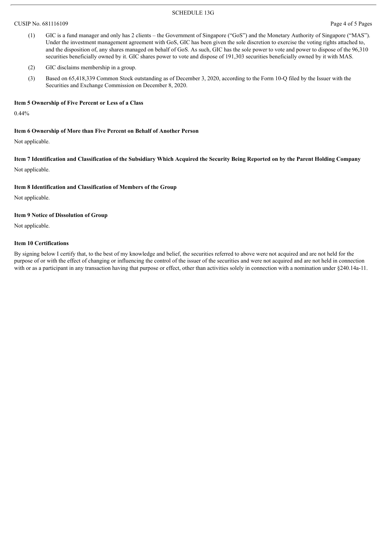#### SCHEDULE 13G

#### CUSIP No. 681116109 Page 4 of 5 Pages

- (1) GIC is a fund manager and only has 2 clients the Government of Singapore ("GoS") and the Monetary Authority of Singapore ("MAS"). Under the investment management agreement with GoS, GIC has been given the sole discretion to exercise the voting rights attached to, and the disposition of, any shares managed on behalf of GoS. As such, GIC has the sole power to vote and power to dispose of the 96,310 securities beneficially owned by it. GIC shares power to vote and dispose of 191,303 securities beneficially owned by it with MAS.
- (2) GIC disclaims membership in a group.
- (3) Based on 65,418,339 Common Stock outstanding as of December 3, 2020, according to the Form 10-Q filed by the Issuer with the Securities and Exchange Commission on December 8, 2020.

#### **Item 5 Ownership of Five Percent or Less of a Class**

0.44%

#### **Item 6 Ownership of More than Five Percent on Behalf of Another Person**

Not applicable.

Item 7 Identification and Classification of the Subsidiary Which Acquired the Security Being Reported on by the Parent Holding Company

Not applicable.

#### **Item 8 Identification and Classification of Members of the Group**

Not applicable.

#### **Item 9 Notice of Dissolution of Group**

Not applicable.

#### **Item 10 Certifications**

By signing below I certify that, to the best of my knowledge and belief, the securities referred to above were not acquired and are not held for the purpose of or with the effect of changing or influencing the control of the issuer of the securities and were not acquired and are not held in connection with or as a participant in any transaction having that purpose or effect, other than activities solely in connection with a nomination under §240.14a-11.